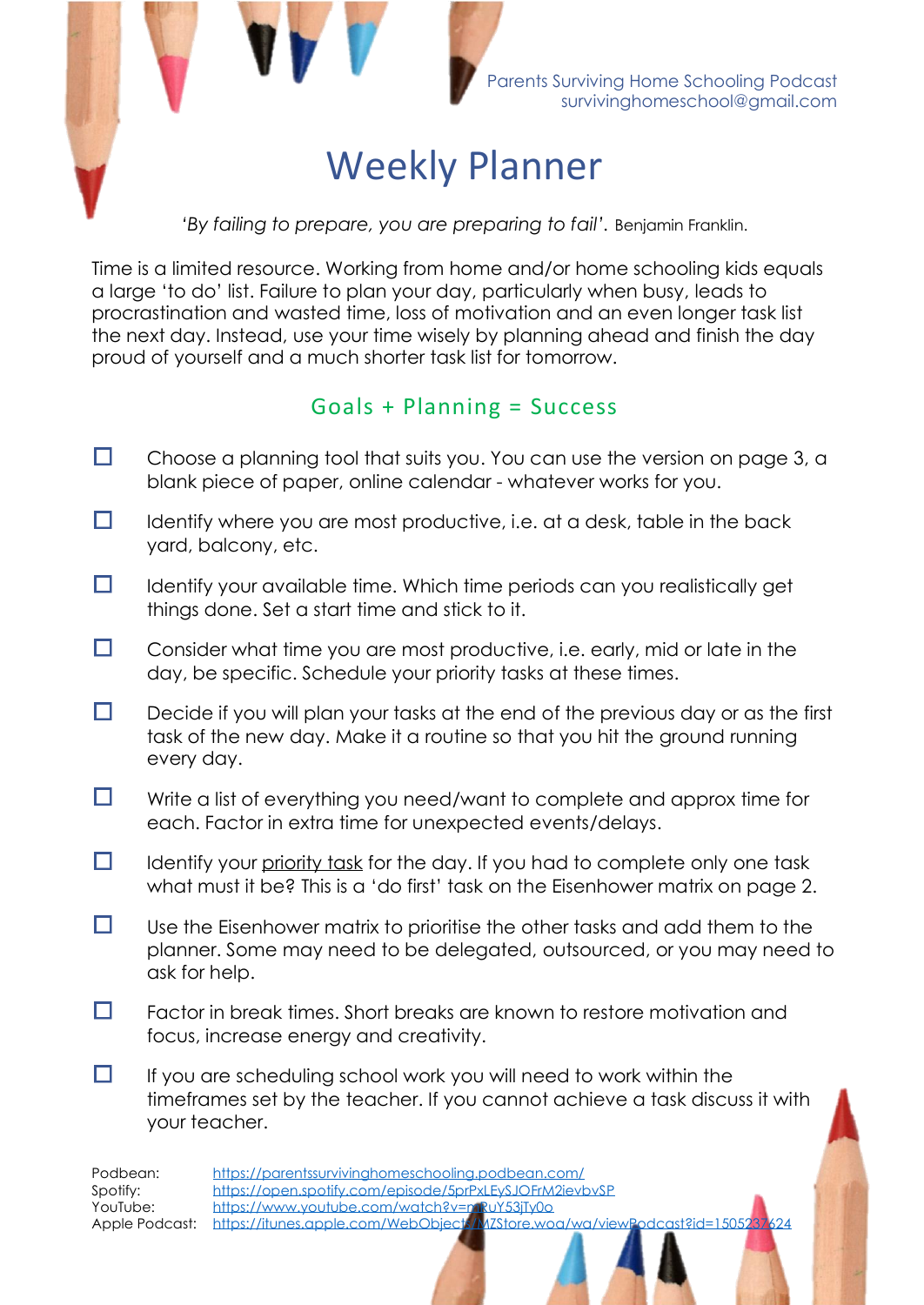

*'By failing to prepare, you are preparing to fail'.* Benjamin Franklin.

Time is a limited resource. Working from home and/or home schooling kids equals a large 'to do' list. Failure to plan your day, particularly when busy, leads to procrastination and wasted time, loss of motivation and an even longer task list the next day. Instead, use your time wisely by planning ahead and finish the day proud of yourself and a much shorter task list for tomorrow.

### Goals + Planning = Success

- П Choose a planning tool that suits you. You can use the version on page 3, a blank piece of paper, online calendar - whatever works for you.
- $\Box$ Identify where you are most productive, i.e. at a desk, table in the back yard, balcony, etc.
- $\Box$ Identify your available time. Which time periods can you realistically get things done. Set a start time and stick to it.
- П Consider what time you are most productive, i.e. early, mid or late in the day, be specific. Schedule your priority tasks at these times.
- $\Box$ Decide if you will plan your tasks at the end of the previous day or as the first task of the new day. Make it a routine so that you hit the ground running every day.
- $\Box$ Write a list of everything you need/want to complete and approx time for each. Factor in extra time for unexpected events/delays.
- $\Box$ Identify your priority task for the day. If you had to complete only one task what must it be? This is a 'do first' task on the Eisenhower matrix on page 2.
- $\Box$ Use the Eisenhower matrix to prioritise the other tasks and add them to the planner. Some may need to be delegated, outsourced, or you may need to ask for help.
- О. Factor in break times. Short breaks are known to restore motivation and focus, increase energy and creativity.
- $\Box$ If you are scheduling school work you will need to work within the timeframes set by the teacher. If you cannot achieve a task discuss it with your teacher.

| Podbean: | https://parentssurvivinghomeschooling.podbean.com/                                          |  |  |  |
|----------|---------------------------------------------------------------------------------------------|--|--|--|
| Spotify: | https://open.spotify.com/episode/5prPxI EyS IOFrM2ieybySP                                   |  |  |  |
| YouTube: | https://www.youtube.com/watch?v=nnRuY53iTy0o                                                |  |  |  |
|          | Apple Podcast: https://itunes.apple.com/WebObiects/M/Store.wog/wa/viewPodcast?id=1505237624 |  |  |  |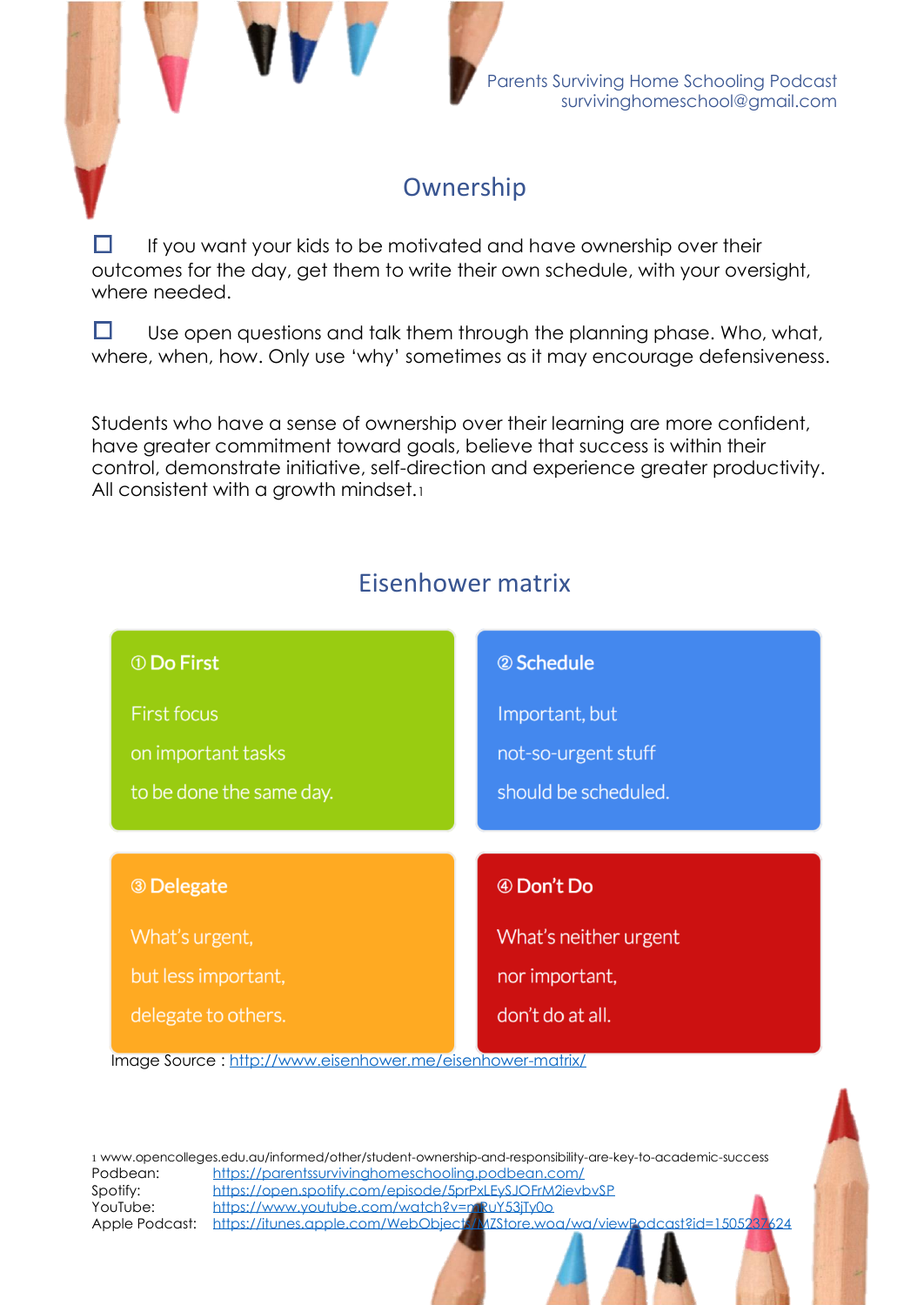

## **Ownership**

If you want your kids to be motivated and have ownership over their outcomes for the day, get them to write their own schedule, with your oversight, where needed.

 $\Box$ Use open questions and talk them through the planning phase. Who, what, where, when, how. Only use 'why' sometimes as it may encourage defensiveness.

Students who have a sense of ownership over their learning are more confident, have greater commitment toward goals, believe that success is within their control, demonstrate initiative, self-direction and experience greater productivity. All consistent with a growth mindset.1

# Eisenhower matrix



Podbean: <https://parentssurvivinghomeschooling.podbean.com/> Spotify: <https://open.spotify.com/episode/5prPxLEySJOFrM2ievbvSP> YouTube: <https://www.youtube.com/watch?v=mRuY53jTy0o> Apple Podcast: <https://itunes.apple.com/WebObjects/MZStore.woa/wa/viewPodcast?id=1505237624> 1 www.opencolleges.edu.au/informed/other/student-ownership-and-responsibility-are-key-to-academic-success